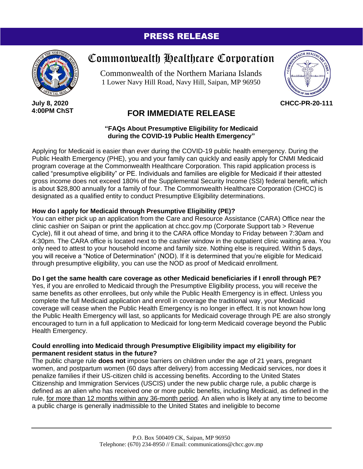### PRESS RELEASE



**July 8, 2020 4:00PM ChST**

# Commonwealth Healthcare Corporation

Commonwealth of the Northern Mariana Islands 1 Lower Navy Hill Road, Navy Hill, Saipan, MP 96950



**CHCC-PR-20-111**

## **FOR IMMEDIATE RELEASE**

**"FAQs About Presumptive Eligibility for Medicaid during the COVID-19 Public Health Emergency"**

Applying for Medicaid is easier than ever during the COVID-19 public health emergency. During the Public Health Emergency (PHE), you and your family can quickly and easily apply for CNMI Medicaid program coverage at the Commonwealth Healthcare Corporation. This rapid application process is called "presumptive eligibility" or PE. Individuals and families are eligible for Medicaid if their attested gross income does not exceed 180% of the Supplemental Security Income (SSI) federal benefit, which is about \$28,800 annually for a family of four. The Commonwealth Healthcare Corporation (CHCC) is designated as a qualified entity to conduct Presumptive Eligibility determinations.

#### **How do I apply for Medicaid through Presumptive Eligibility (PE)?**

You can either pick up an application from the Care and Resource Assistance (CARA) Office near the clinic cashier on Saipan or print the application at chcc.gov.mp (Corporate Support tab > Revenue Cycle), fill it out ahead of time, and bring it to the CARA office Monday to Friday between 7:30am and 4:30pm. The CARA office is located next to the cashier window in the outpatient clinic waiting area. You only need to attest to your household income and family size. Nothing else is required. Within 5 days, you will receive a "Notice of Determination" (NOD). If it is determined that you're eligible for Medicaid through presumptive eligibility, you can use the NOD as proof of Medicaid enrollment.

#### **Do I get the same health care coverage as other Medicaid beneficiaries if I enroll through PE?**

Yes, if you are enrolled to Medicaid through the Presumptive Eligibility process, you will receive the same benefits as other enrollees, but only while the Public Health Emergency is in effect. Unless you complete the full Medicaid application and enroll in coverage the traditional way, your Medicaid coverage will cease when the Public Health Emergency is no longer in effect. It is not known how long the Public Health Emergency will last, so applicants for Medicaid coverage through PE are also strongly encouraged to turn in a full application to Medicaid for long-term Medicaid coverage beyond the Public Health Emergency.

#### **Could enrolling into Medicaid through Presumptive Eligibility impact my eligibility for permanent resident status in the future?**

The public charge rule **does not** impose barriers on children under the age of 21 years, pregnant women, and postpartum women (60 days after delivery) from accessing Medicaid services, nor does it penalize families if their US-citizen child is accessing benefits. According to the United States Citizenship and Immigration Services (USCIS) under the new public charge rule, a public charge is defined as an alien who has received one or more public benefits, including Medicaid, as defined in the rule, for more than 12 months within any 36-month period. An alien who is likely at any time to become a public charge is generally inadmissible to the United States and ineligible to become